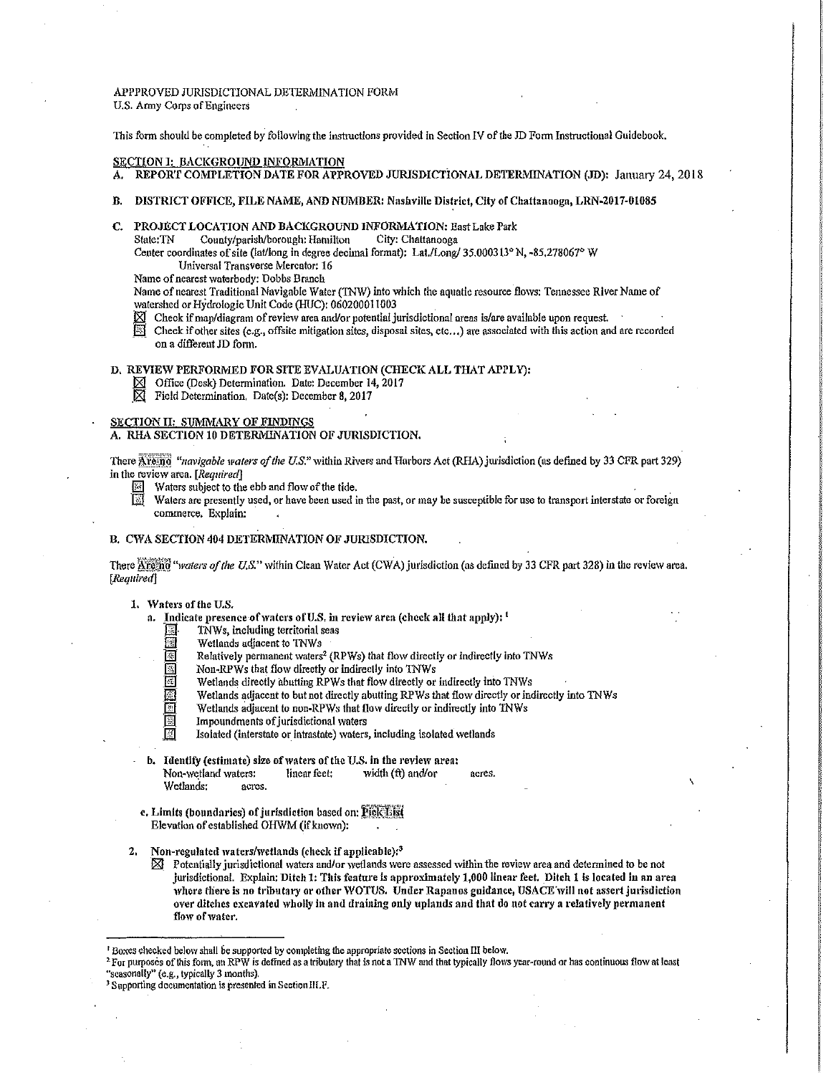APPPROVED JURISDICTIONAL DETERMINATION FORM U.S. Army Corps of Engineers

This form should be completed by following the instructions provided in Section IV of the JD Form Instructional Guidebook.

#### SECTION I: BACKGROUND INFORMATION A. REPORT COMPLETION DATE FOR APPROVED JURISDICTIONAL DETERMINATION (JD): January 24, 2018

- B. DISTRICT OFFICE, FILE NAME, AND NUMBER: Nashville District, City of Chattanooga, LRN-2017-01085
- C. PROJECT LOCATION AND BACKGROUND INFORMATION: East Lake Park<br>State:TN County/parish/borough: Hamilton City: Chattanooga

County/parish/borough: Hamilton

Center coordinates of site (lat/long in degree decimal format): Lat./Long/ 35.000313° N, -85.278067° W Universal Transverse Mercator: 16

Name of nearest waterbody: Dobbs Branch

Name of nearest Traditional Navigable Water (TNW) into which the aquatic resource flows: Tennessee River Name of watershed or Hydrologic Unit Code (HUC): 060200011003

- Check if map/diagram of review area and/or potential jurisdictional areas is/are available upon request.
- Check if other sites (e.g., offsite mitigation sites, disposal sites, etc...) are associated with this action and are recorded on a different JD form.

#### D, REVIEW PERFORMED FOR SITE EVALUATION (CHECK ALL THAT APPLY):

- Office (Desk) Determination. Date: December 14, 2017
- Field Determination, Date(s): December 8, 2017

SECTION II: SUMMARY OF FINDINGS

A. RHA SECTION 10 DETERMINATION OF JURISDICTION.

There Are movigable waters of the U.S." within Rivers and Harbors Act (RHA) jurisdiction (as defined by 33 CFR part 329) in the review area. *[Required]* 

- Waters subject to the ebb and flow of the tide.
- Waters are presently used, or have been used in the past, or may be susceptible for use to transport interstate or foreign commerce. Explain:

# B. CWA SECTION 404 DETERMINATION OF JURISDICTION.

There Afteria<sup>t</sup> "*waters of the U.S.*" within Clean Water Act (CWA) jurisdiction (as defined by 33 CFR part 328) in the review area. [Required]

1. Waters of the U.S.

- a. Indicate presence of waters of U.S, in review area (check all that apply): <sup>1</sup>
	- $\overline{\mathbb{S}}$ . TNWs, including territorial seas
		-
	- $\overline{13}$  Wetlands adjacent to TNWs<br>
	Relatively permanent waters **EXECUTE:** Relatively permanent waters<sup>2</sup> (RPWs) that flow directly or indirectly into TNWs<br>
	Mon-RPWs that flow directly or indirectly into TNWs
	- $\overline{\mathbb{S}}$  Non-RPWs that flow directly or indirectly into TNWs<br> $\overline{\mathbb{S}}$  Wetlands directly abutting RPWs that flow directly or
	- Wetlands directly abutting RPWs that flow directly or indirectly into TNWs
	- Wetlands adjacent to but not directly abutting RPWs that flow directly or indirectly into TNWs
	- Wetlands adjacent to non-RPWs that flow directly or indirectly into TNWs Impoundments of jurisdictional waters
	-
	- $\overline{\mathbb{M}}$  Isolated (interstate or intrastate) waters, including isolated wetlands
- **b.** Identify (estimate) size of waters of the U.S. in the review area: Non-wetland waters: linear feet: width (ft) and/or acres. Wetlands: acres.
- c. Limits (boundaries) of jurisdiction based on: Pick List Elevation of established OHWM (if known);
- 2. Non-regulated waters/wetlands (check if applicable): $3$ 
	- $\boxtimes$  Potentially jurisdictional waters and/or wetlands were assessed within the review area and determined to be not jurisdictional. Explain: Ditch 1: This feature is approximately 1,000 linear feet. Ditch 1 is located in an area where there is no tributary or other WOTUS. Under Rapanos guidance, USACE will not assert jurisdiction over ditches excavated 'vholly in and draining only uplands and that do not carry a relatively permanent flow of water.

P Boxes checked below shall be supported by completing the appropriate sections in Section III below.<br><sup>2</sup> For purposes of this form, an RPW is defined as a tributary that is not a TNW and that typically flows year-round or "seasonally" (e.g., typically 3 tnonths).

<sup>&</sup>lt;sup>3</sup> Supporting documentation is presented in Section III.F.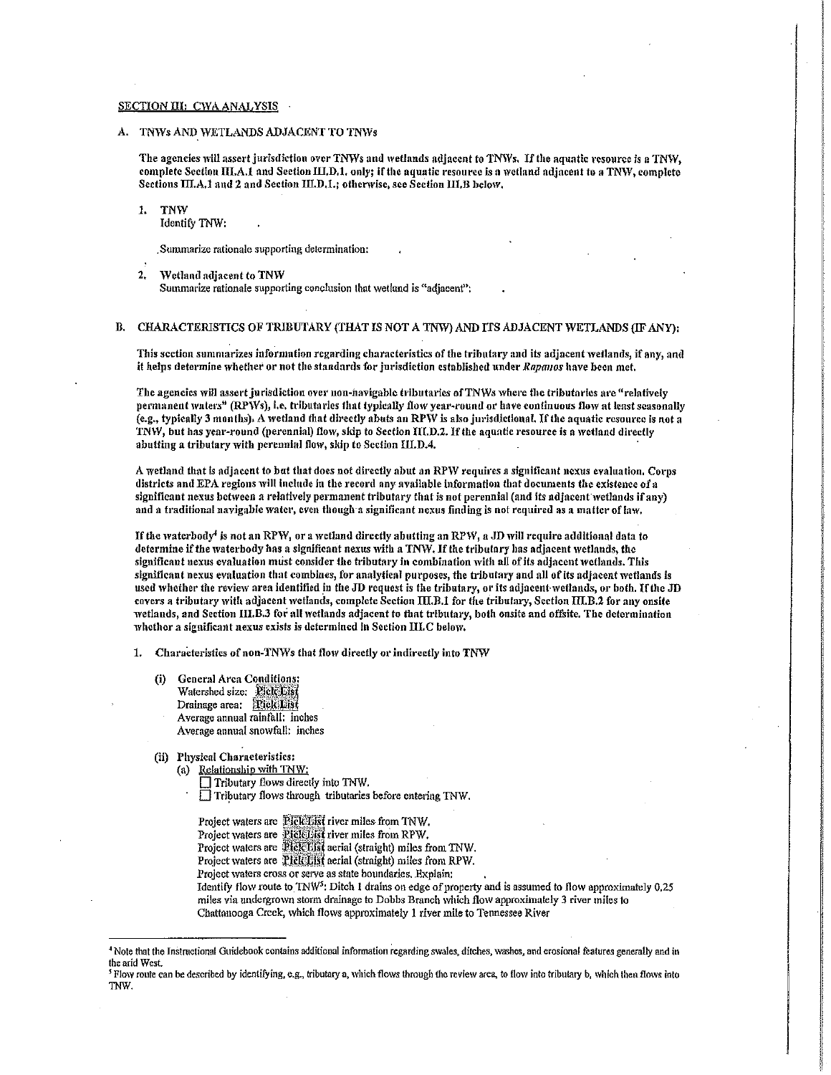# SECTION III: CWA ANALYSIS

A. TNWs AND WETLANDS ADJACENT TO TNWs

The agencies will assert jurisdiction over TNWs and wetlands adjacent to TNWs. If the aquatic resource is a TNW, complete Section III.A.1 and Section III.D.1. only; if the aquatic resource is a wetland adjacent to a TNW, complete Sections III.A.1 and 2 and Section III.D.1.; otherwise, see Section III.B helow,

1. TNW Identify TNW:

Summarize rationale supporting determination:

*2,* tVctlandndjacent *to* TN\V Summarize rationale supporting conclusion that wetland is "adjacent";

# B. CHARACTERISTICS OF TRIBUTARY (THAT IS NOT A TNW) AND ITS ADJACENT WETLANDS (IF ANY):

This section summarizes information regarding characteristics of the tributary and its adjacent wetlands, if any, and it helps determine whether or not the standards for jurisdiction established under *Rapanos* have been met.

The agencies will assert jurisdiction over non-navigable tributaries of TNWs where the tributaries are "relatively permanent waters" (RPWs), i.e. tributaries that typically flow year-round or have continuous flow at least seasonally (e.g., typically 3 months). A wetland that directly abuts an RPW is also jurisdictional. If the aquatic resource is not a TNW, but has year-round (perennial) flow, skip to Section III.D.2. If the aquatic resource is a wetland directly abutting a tributary with perennial flow, skip to Section III.D.4.

A wetland that is adjacent to but that does not directly abut an RPW requires a significant nexus evaluation. Corps districts and EPA regions will include in the record any available information that documents the existence of a significant nexus between a relatively permanent tributary that is not perennial (and its adjacent wetlands if any) and a traditional navigable water, even though-a significant nexus finding is not required as a matter of law.

If the waterbody<sup>1</sup> is not an RPW, or a wetland directly abutting an RPW, a JD will require additional data to determine- if the waterbody has a significant nexus with a TNW. If the tributary has adjacent wetlands, the significant nexus evaluation must consider the tributary in combination with all of its adjacent wetlands. This significant nexus evaluation that combines, for analytical purposes, the tributary and all of its adjacent wetlands is used whether the review area identified in the JD request is the tributary, or its adjacent wetlands, or both. If the JD covers a tributary with adjacent wetlands, complete Section III.B.1 for the tributary, Section III.B.2 for any onsite wetlands, and Section III.B.3 for all wetlands adjacent to that tributary, both onsite and offsite. The determination lvhether a significant nexus exists is determined In Section III.C below.

1. Characteristics of non-TNWs that flow directly or indirectly into TNW

- (i) General Arca Conditions: Watershed size: Rick List Drainage area: **Fick1Jji** Average annual rainfall: inches Average annual snowfall: inches
- (ii) Physical Characteristics:
	- (a) Relationship with TNW:
		- $\Box$  Tributary flows directly into TNW.
		- $\Box$  Tributary flows through tributaries before entering TNW.

Project waters are Pick Fist river miles from TNW. Project waters are **PickList** river miles from RPW. Project waters are Pick List aerial (straight) miles from TNW. Project waters are **Pick List** aerial (straight) miles from RPW. Project waters cross or serve as state boundaries. Explain: Identify flow route to TNW<sup>5</sup>: Ditch 1 drains on edge of property and is assumed to flow approximately 0.25 miles via undergrown storm drainage to Dobbs Branch which flow approximately 3 river miles to Chattanooga Creek, which flows approximately 1 river mile to Tennessee River

<sup>&</sup>lt;sup>4</sup> Note that the Instructional Guidebook contains additional information regarding swales, ditches, washes, and erosional features generally and in the arid West.

<sup>&</sup>lt;sup>5</sup> Flow route can be described by identifying, e.g., tributary a, which flows through the review area, to flow into tributary b, which then flows into TNW.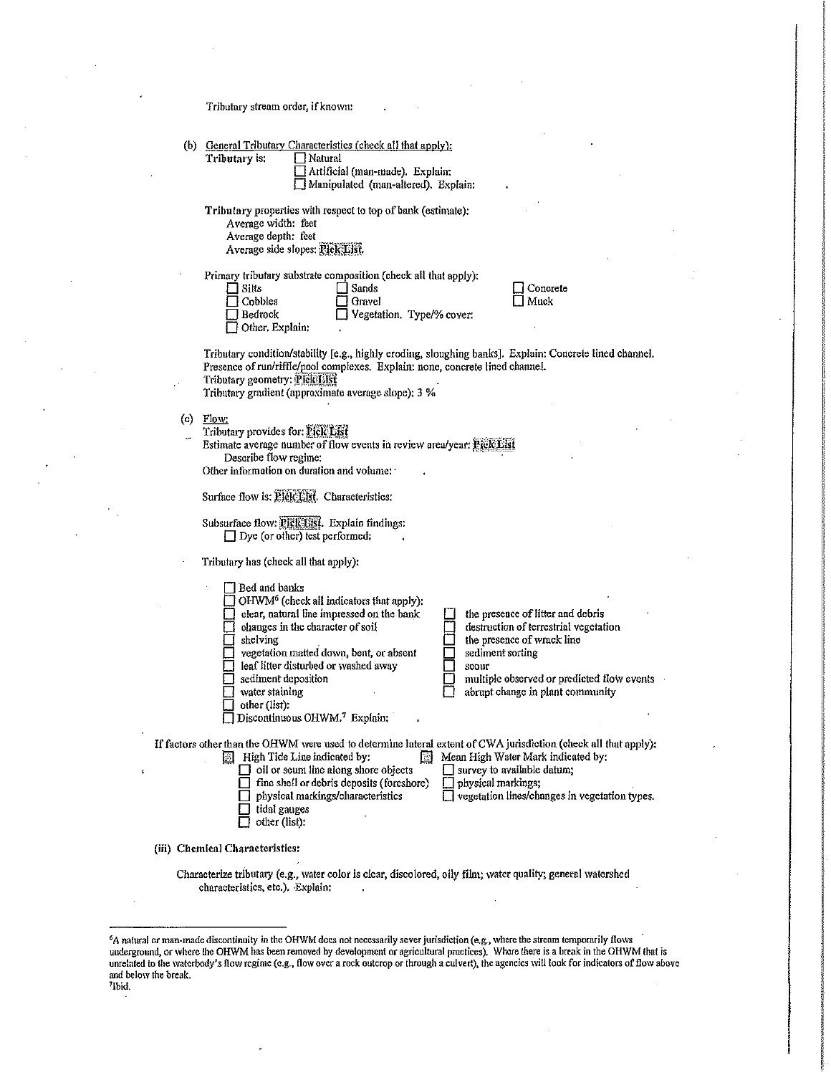Tributary stream order, if known:

|  | (b) General Tributary Characteristics (check all that apply):                                                                                                                                                                                                                                                                                                                                                                                                                                                                                                               |
|--|-----------------------------------------------------------------------------------------------------------------------------------------------------------------------------------------------------------------------------------------------------------------------------------------------------------------------------------------------------------------------------------------------------------------------------------------------------------------------------------------------------------------------------------------------------------------------------|
|  | Tributary is:<br>Natural                                                                                                                                                                                                                                                                                                                                                                                                                                                                                                                                                    |
|  | Artificial (man-made). Explain:                                                                                                                                                                                                                                                                                                                                                                                                                                                                                                                                             |
|  | Manipulated (man-altered). Explain:                                                                                                                                                                                                                                                                                                                                                                                                                                                                                                                                         |
|  | Tributary properties with respect to top of bank (estimate):<br>Average width: feet<br>Average depth: feet<br>Average side slopes: Pick List.                                                                                                                                                                                                                                                                                                                                                                                                                               |
|  | Primary tributary substrate composition (check all that apply):<br>Sands<br>Concrete<br>∏ Silts<br>$\sqcap$ Cobbles<br>Muck<br>Gravel<br>Vegetation. Type/% cover:<br>Bedrock<br>Other, Explain:                                                                                                                                                                                                                                                                                                                                                                            |
|  | Tributary condition/stability [e.g., highly eroding, sloughing banks]. Explain: Concrete lined channel.<br>Presence of run/riffle/pool complexes. Explain: none, concrete lined channel.<br>Tributary geometry: Pick List<br>Tributary gradient (approximate average slope): 3 %                                                                                                                                                                                                                                                                                            |
|  | (c) Flow:<br>Tributary provides for: Pick List<br>Estimate average number of flow events in review area/year: Pick List<br>Describe flow regime:<br>Other information on duration and volume:                                                                                                                                                                                                                                                                                                                                                                               |
|  | Surface flow is: Pick List. Characteristics:                                                                                                                                                                                                                                                                                                                                                                                                                                                                                                                                |
|  | Subsurface flow: Pick 13st. Explain findings:<br>$\Box$ Dye (or other) test performed:                                                                                                                                                                                                                                                                                                                                                                                                                                                                                      |
|  | Tributary has (check all that apply):                                                                                                                                                                                                                                                                                                                                                                                                                                                                                                                                       |
|  | Bed and banks<br>OHWM <sup>6</sup> (check all indicators that apply):<br>clear, natural line impressed on the bank<br>the presence of litter and debris<br>changes in the character of soil<br>destruction of terrestrial vegetation<br>shelving<br>the presence of wrack line<br>vegetation matted down, bent, or absent<br>sediment sorting<br>leaf litter disturbed or washed away<br>scour<br>sediment deposition<br>multiple observed or predicted flow events<br>water staining<br>abrupt change in plant community<br>other (list):<br>Discontinuous OHWM,7 Explain; |
|  | If factors other than the OHWM were used to determine lateral extent of CWA jurisdiction (check all that apply):<br>High Tide Line indicated by:<br>Mean High Water Mark indicated by:<br>圖<br>لتا<br>oil or scum line along shore objects<br>survey to available datum;<br>fine shell or debris deposits (foreshore)<br>physical markings;<br>vegetation lines/changes in vegetation types.<br>physical markings/characteristics<br>tidal gauges<br>other (list):                                                                                                          |
|  | (iii) Chemical Characteristics:                                                                                                                                                                                                                                                                                                                                                                                                                                                                                                                                             |
|  |                                                                                                                                                                                                                                                                                                                                                                                                                                                                                                                                                                             |
|  | Characterize tributary (e.g., water color is clear, discolored, oily film; water quality; general watershed<br>characteristics, etc.). Explain:                                                                                                                                                                                                                                                                                                                                                                                                                             |

*<sup>6</sup>*A natural or man.made discontinulty in the OH\VM docs not necessarily sever jurisdiction (e.g., where the stream temporarily flows underground, or where the OHWM has been removed by development or agricultural practices). Where there is a break in the OHWM that is unrelated to the waterbody's flow regime (e.g., flow over a rock outcrop or through a culvert), the agencies will look for indicators of flow above and below the break.<br><sup>7</sup>lbid.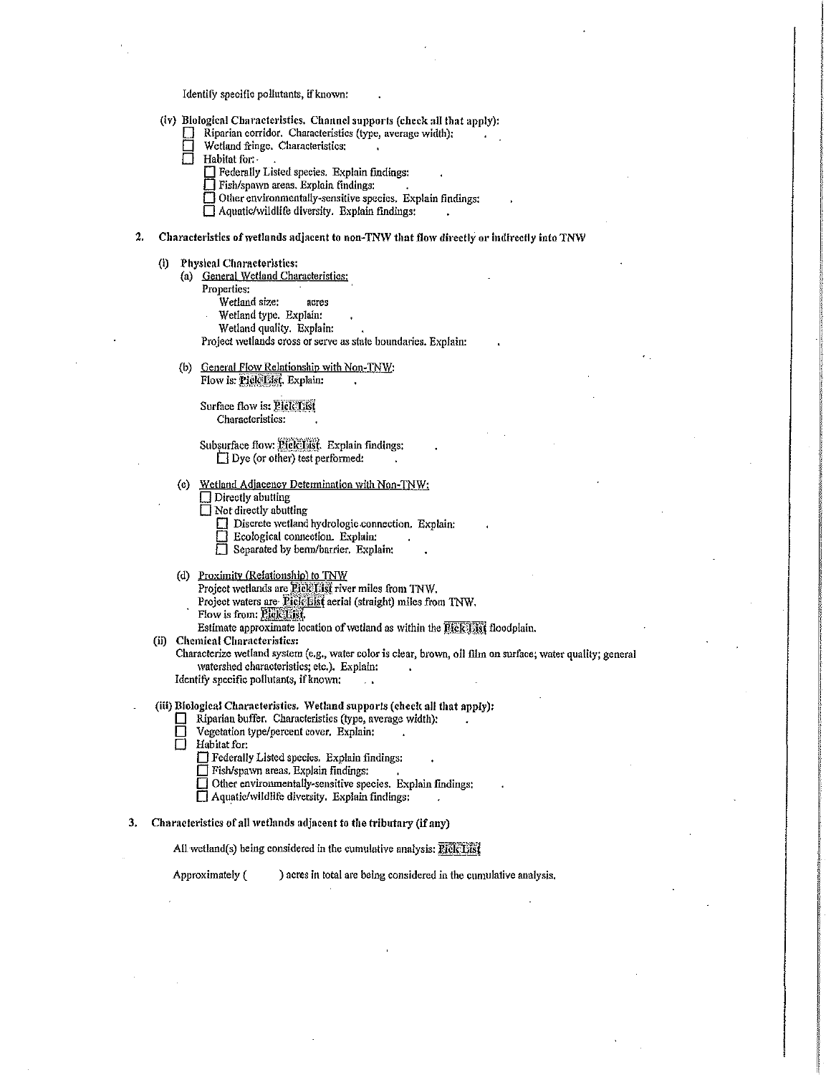Identify specific pollutants, if known:

- (iv) Biological Characteristics. Channel supports (check all that apply):
	- Riparian corridor. Characteristics (type, average width):
	- Wetland fringe. Characteristics:<br>  $\Box$  Habitat for:
	- Habitat for:
		-
		- **D** Federally Listed species. Explain findings:<br> **D** Fish/spawn areas. Explain findings:
		- $\Box$  Other environmentally-sensitive species. Explain findings:
		- $\Box$  Aquatic/wildlife diversity. Explain findings:

#### 2. Characteristics of wetlands adjacent to non-TNW that flow directly or indirectly into TNW

- (i) Physical Characteristics:
	- (a) General Wetland Characteristics:
		- Properties:
			- Wetland size: acres
			- Wetland type. Explain:
			- Wetland quality. Explain:
		- Project wetlands cross or serve as state boundaries. Explain:
	- (b) General Flow Relationship with Non-TNW: Flow is: Piele List. Explain:

Surface flow is: Pick List

Subsurface flow:  $\frac{p_1}{p_2}$  Explain findings:  $\Box$  Dye (or other) test performed:

- (e) Wetland Adjacency Determination \vith Non~TNW:
	- $\Box$  Directly abutting
	- $\square$  Not directly abutting
		- $\Box$  Discrete wetland hydrologic connection. Explain:
		- Ecological connection. Explain:
		- **Explain:** Ecological connection. Explain:<br>
		Separated by berm/barrier, Explain:
- (d) Proximjtv (Relationship) to TNW
	- Project wetlands are Pick List river miles from TNW.
	- Project waters are Pick List aerial (straight) miles from TNW.
	- Flow is from: PIck List
- Estimate approximate location of wetland as within the **Elek List** floodplain.
- (ii) Chemical Characteristics:

Characterize wetland system (e.g., water color is clear, brown, oil film on surface; water quality; general \Vatershed characteristics; etc.). Explain:

Identify specific polhttants, if known:  $\sim$ 

# (iii) Biological Characteristics. Wetland supports (check all that apply):

- $\Box$  Riparian buffer. Characteristics (type, average width):<br> $\Box$  Vegetation type/percent cover. Explain:
- D Vegetation type/percent cover. Explain:<br>
B Habitat for:
- Habitat for:
	- $\Box$  Federally Listed species. Explain findings:
	- $\Box$  Fish/spawn areas. Explain findings:
	- D Other enviromuentally~sensitive species. Explain findings:
	- $\Box$  Aquatic/wildlife diversity. Explain findings;
	-

# 3. Characteristics of all wetlands adjacent to the tributary (if any)

All wetland(s) being considered in the cumulative analysis:  $\overline{P}$ fel $\overline{C}$ *Fiff* 

Approximately ( ) acres In total are being considered in the cumulative analysis.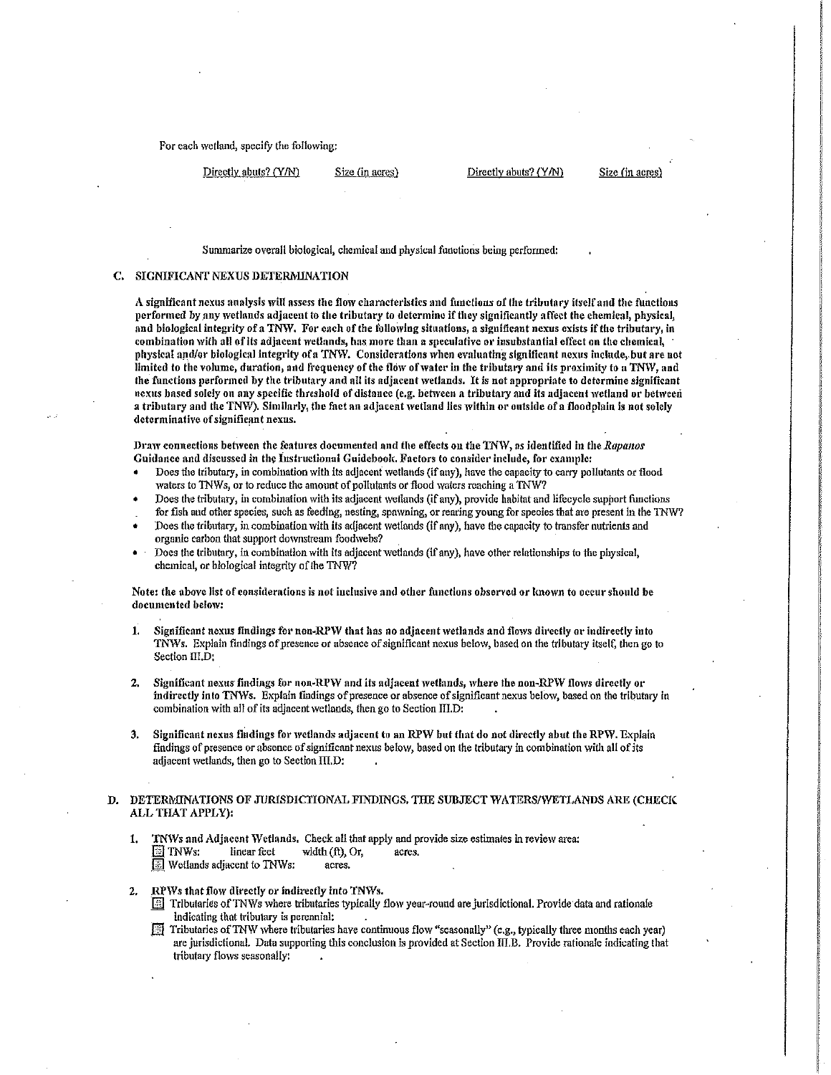For each wetland, specify the following:

Directly abuts? (Y/N) Size (in acres) Directly abuts? (Y/N) Size (in acres

Summarize overall biological, chemical and physical functions being performed:

### C. SIGNIFICANT NEXUS DETERMINATION

A significant nexus analysis \viU assess the flow characteristics and functions of lhe tributary itself and the functions performed by any wetlands adjacent to the tributary to determine if they significantly affect the chemical, physical, and biological integrity of a TNW. For each of the following situations, a significant nexus exists if the tributary, in combination with all of lis adjacent wetlands, has more than a speculative or insubstantial effect on the chemical, physical and/or biological integrity of a TNW. Considerations when evaluating significant nexus include, but are not limited to the volume, duration, and frequency of the flow of water in the tributary and its proximity to a TNW, and the functions performed by the tributary and all its adjacent wetlands. It is not appropriate to determine significant nexus based solely on any specific threshold of distance (e.g. between a tributary and its adjacent wetland or between a tributary and the TNW). Similarly, the fact an adjacent wetland lies within or outside of a floodplain is not solely determinative of significant nexus.

Draw connections between the features documented and the effects on the TNW, as identified in the Rapanos Guidance and discussed in the Instructional Guidebook. Factors to consider include, for example:

- Does the tributary, in combjnation with its adjacent \Vetlands (if any), have the capacity to carry pollutants or flood waters to TNWs, or to reduce the amount of pollutants or flood waters reaching a TNW?
- Does the tributary, in combination with its adjacent wetlands (if any), provide habitat and lifecycle support functions for fish and other species, such as feeding, nesting, spawning, or rearing young for species that are present in the TNW?
- Does the tributary, in combination with its adjacent wetlands (if any), have the capacity to transfer nutrients and organic carbon that support downstream foodwebs?
- Does the tributary, in combination with its adjacent 'vetlands (if any), have other relationships to the physical, chemical, or blological integrity of the TNW?

Note: the above list of cousiderntions is not inclusive and other functions observed or known to occur should be documented below:

- 1. Significant nexus findings for non-RPW that has no adjacent wetlands and flows directly or indirectly into TNWs. Explain findings of presence or absence of significant nexus below, based on the tributary itself, then go to Section III.D:
- 2. Significant nexus findings for non-RPW and its adjacent wetlands, where the non-RPW flows directly or indirectly into TNWs. Explain findings of presence or absence of significant nexus below, based on the tributary in combination with all of its adjacent wetlands, then go to Section III.D:
- 3. Significant nexus findings for wetlands adjacent to an RPW but that do not directly abut the RPW. Explain findings of presence or absence of significant nexus below, based on the tributary in combination with all of its adjacent wetlands, then go to Section III.D:

#### D. DETERMINATIONS OF JURISDICTIONAL FINDINGS. THE SUBJECT WATERS/WETLANDS ARE (CHECK ALL THAT APPLY):

- 1. TNWs and Adjacent Wetlands. Check all that apply and provide size estimates in review area:<br> $\Box$  TNWs: linear feet width (ft), Or, acres.  $width (ft), Or, \n *acres.*$  $\boxed{\color{blue}5}$  Wetlands adjacent to TNWs:
- 2. RPWs that flow directly or indirectly into TNWs.
	- Tributaries of TNWs where tributaries typically flow year-round are jurisdictional. Provide data and rationale indicating that tributary is perennial: .
	- Tributaries of TNW where tributaries have continuous flow "seasonally" (e.g., typically three months each year) · are jurisdictional. Data supporting this conclusion is provided at Seclion ffi.B. Provide rationale indicating that tributary flows seasonally: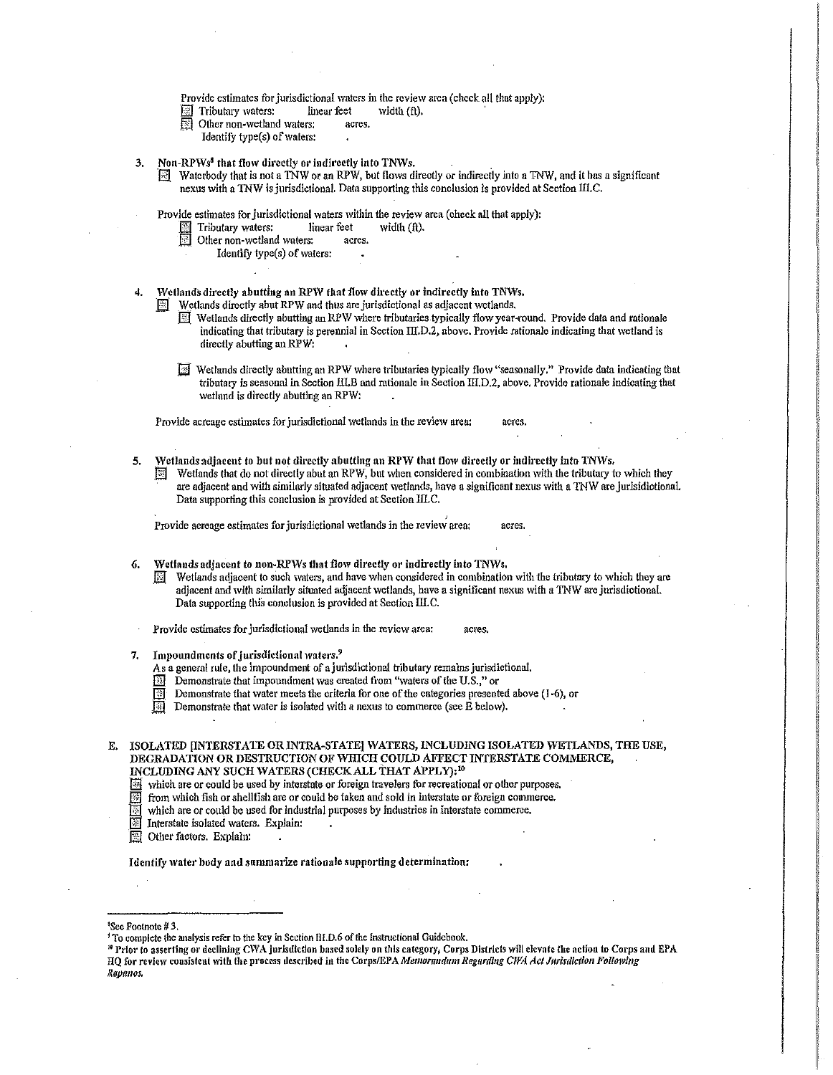Provide estimates for jurisdictional waters in the review area (check all thut apply):<br> $\Box$  Tributary waters: linear feet width (ft).

- $\Box$  Tributary waters: linear feet width  $(ft)$ .
- Other non-wetland waters: acres.
- Identify type(s) of waters:
- Non-RPWs<sup>8</sup> that flow directly or indirectly into TNWs.
	- 0J. Watcrbody that is not a TNW or an RPW, but flo\VS directly or indirectly into a TNW, and it has a significant nexus with a TNW is jurisdictional. Data supporting this conclusion is provided at Section III.C.

Provide estimates for jurisdictional waters within the review area (check all that apply):

- Tributary waters: linear feet width (ft).
- Other non-wetland waters: acres.
- Identify type(s) of waters:

Wetlands directly abutting an RPW that flow directly or indirectly into TNWs,

- $\Box$  Wetlands directly abut RPW and thus are jurisdictional as adjacent wetlands.
	- **IDED** Wetlands directly abutting an RPW where tributaries typically flow year-round. Provide data and rationale indicating that tributary is perennial in Section  $\text{III.D.2}$ , above. Provide rationale indicating that wetland is directly abutting an RPW:
	- Wetlands directly abutting an RPW where tributaries typically flow "seasonally," Provide data indicating that tributary is seasonal in Section III.B and rationale in Section III.D.2, above. Provide rationale indicating that wetlnnd is directly abutting an RPW:

Provide acreage estimates for jurisdictional wetlands in the review area: acres.

- 5. Wetlands adjacent to but not directly abutting an RPW that flow directly or indirectly into TNWs,
	- Wetlands that do not directly abut an RPW, but when considered in combination with the tributary to which they are adjacent and with similarly situated adjacent wetlands, have a significant nexus with a TNW are jurisidictional. Data supporting this conclusion is provided at Section IILC.

Provide acreage estimates for jurisdictional wetlands in the review area: acres.

6. Wetlands adjacent to non-RPWs that flow directly or indirectly into TNWs.

- Wetlands adjacent to such waters, and have when considered in combination with the tributary to which they are adjacent and with similarly situated adjacent wetlands, have a significant nexus with a TNW are jurisdictional. Data supporting this conclusion is provided at Section III.C.
- Provide estimates for jurisdictional wetlands in the review area: acres.
- Impoundments of jurisdictional waters.<sup>9</sup>
	- As a general rule, the impoundment of a jurisdictional tributary remains jurisdictional,
	- $\boxed{11}$  Demonstrate that impoundment was created from "waters of the U.S.," or
	- **EXECUTE:** Demonstrate that vater meets the criteria for one of the categories presented above (I-6), or Bi Demonstrate that water is isolated with a nexus to commerce (see E below).
	-

E. ISOLATED IINTERSTATE OR INTRA-STATE] WATERS, INCLUDING ISOLATED WETLANDS, THE USE, DEGRADATION OR DESTRUCTION OF WHICH COULD AFFECT INTERSTATE COMMERCE, INCLUDING ANY SUCH WATERS (CHECK ALL THAT APPLY): <sup>10</sup>

Which are or could be used by interstate or foreign travelers for recreational or other purposes.

fill from which fish or shellfish are or could be taken and sold in interstate or foreign commerce.

**IF** which are or could be used for industrial purposes by industries in interstate commerce.<br>Interstate isolated waters. Explain:

- Interstate isolated waters. Explain:
- **图 Other factors. Explain:**

#### Identify water body and summarize rationale supporting determination:

1 See Footnote# 3,

<sup>&</sup>lt;sup>1</sup> To complete the analysis refer to the key in Section III.D.6 of the Instructional Guidebook.

<sup>&</sup>lt;sup>19</sup> Prior to asserting or declining CWA jurisdiction based solely on this category, Corps Districts will elevate the action to Corps and EPA HQ for review consistent with the process described in the Corps/EPA *Memorandum Regarding CWA Act Jurisdiction Following Rnpmws.*